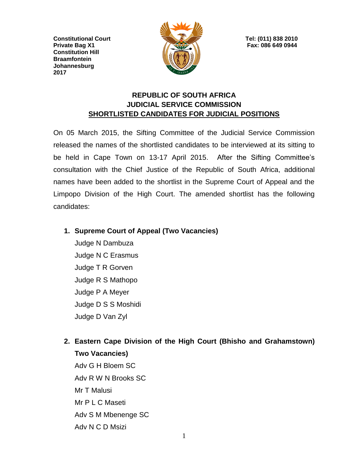**Constitutional Court Tel: (011) 838 2010 Private Bag X1 Fax: 086 649 0944 Constitution Hill Braamfontein Johannesburg 2017**



## **REPUBLIC OF SOUTH AFRICA JUDICIAL SERVICE COMMISSION SHORTLISTED CANDIDATES FOR JUDICIAL POSITIONS**

On 05 March 2015, the Sifting Committee of the Judicial Service Commission released the names of the shortlisted candidates to be interviewed at its sitting to be held in Cape Town on 13-17 April 2015. After the Sifting Committee's consultation with the Chief Justice of the Republic of South Africa, additional names have been added to the shortlist in the Supreme Court of Appeal and the Limpopo Division of the High Court. The amended shortlist has the following candidates:

**1. Supreme Court of Appeal (Two Vacancies)**

Judge N Dambuza Judge N C Erasmus Judge T R Gorven Judge R S Mathopo Judge P A Meyer Judge D S S Moshidi Judge D Van Zyl

**2. Eastern Cape Division of the High Court (Bhisho and Grahamstown) Two Vacancies)**

Adv G H Bloem SC Adv R W N Brooks SC Mr T Malusi Mr P L C Maseti Adv S M Mbenenge SC Adv N C D Msizi